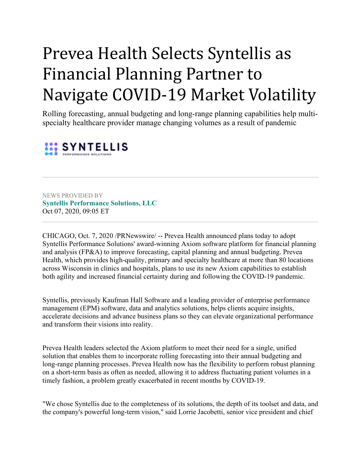## Prevea Health Selects Syntellis as Financial Planning Partner to Navigate COVID-19 Market Volatility

Rolling forecasting, annual budgeting and long-range planning capabilities help multispecialty healthcare provider manage changing volumes as a result of pandemic



NEWS PROVIDED BY **[Syntellis Performance Solutions, LLC](https://www.prnewswire.com/news/syntellis-performance-solutions%2C-llc)** Oct 07, 2020, 09:05 ET

CHICAGO, Oct. 7, 2020 /PRNewswire/ -- Prevea Health announced plans today to adopt Syntellis Performance Solutions' award-winning Axiom software platform for financial planning and analysis (FP&A) to improve forecasting, capital planning and annual budgeting. Prevea Health, which provides high-quality, primary and specialty healthcare at more than 80 locations across Wisconsin in clinics and hospitals, plans to use its new Axiom capabilities to establish both agility and increased financial certainty during and following the COVID-19 pandemic.

Syntellis, previously Kaufman Hall Software and a leading provider of enterprise performance management (EPM) software, data and analytics solutions, helps clients acquire insights, accelerate decisions and advance business plans so they can elevate organizational performance and transform their visions into reality.

Prevea Health leaders selected the Axiom platform to meet their need for a single, unified solution that enables them to incorporate rolling forecasting into their annual budgeting and long-range planning processes. Prevea Health now has the flexibility to perform robust planning on a short-term basis as often as needed, allowing it to address fluctuating patient volumes in a timely fashion, a problem greatly exacerbated in recent months by COVID-19.

"We chose Syntellis due to the completeness of its solutions, the depth of its toolset and data, and the company's powerful long-term vision," said Lorrie Jacobetti, senior vice president and chief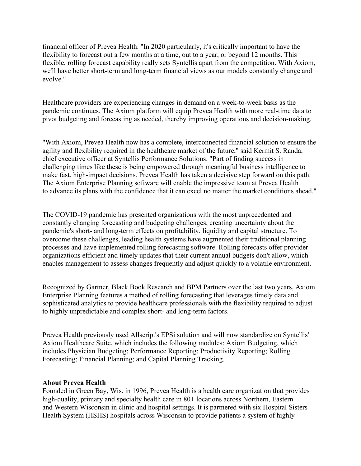financial officer of Prevea Health. "In 2020 particularly, it's critically important to have the flexibility to forecast out a few months at a time, out to a year, or beyond 12 months. This flexible, rolling forecast capability really sets Syntellis apart from the competition. With Axiom, we'll have better short-term and long-term financial views as our models constantly change and evolve."

Healthcare providers are experiencing changes in demand on a week-to-week basis as the pandemic continues. The Axiom platform will equip Prevea Health with more real-time data to pivot budgeting and forecasting as needed, thereby improving operations and decision-making.

"With Axiom, Prevea Health now has a complete, interconnected financial solution to ensure the agility and flexibility required in the healthcare market of the future," said Kermit S. Randa, chief executive officer at Syntellis Performance Solutions. "Part of finding success in challenging times like these is being empowered through meaningful business intelligence to make fast, high-impact decisions. Prevea Health has taken a decisive step forward on this path. The Axiom Enterprise Planning software will enable the impressive team at Prevea Health to advance its plans with the confidence that it can excel no matter the market conditions ahead."

The COVID-19 pandemic has presented organizations with the most unprecedented and constantly changing forecasting and budgeting challenges, creating uncertainty about the pandemic's short- and long-term effects on profitability, liquidity and capital structure. To overcome these challenges, leading health systems have augmented their traditional planning processes and have implemented rolling forecasting software. Rolling forecasts offer provider organizations efficient and timely updates that their current annual budgets don't allow, which enables management to assess changes frequently and adjust quickly to a volatile environment.

Recognized by Gartner, Black Book Research and BPM Partners over the last two years, Axiom Enterprise Planning features a method of rolling forecasting that leverages timely data and sophisticated analytics to provide healthcare professionals with the flexibility required to adjust to highly unpredictable and complex short- and long-term factors.

Prevea Health previously used Allscript's EPSi solution and will now standardize on Syntellis' Axiom Healthcare Suite, which includes the following modules: Axiom Budgeting, which includes Physician Budgeting; Performance Reporting; Productivity Reporting; Rolling Forecasting; Financial Planning; and Capital Planning Tracking.

## **About Prevea Health**

Founded in Green Bay, Wis. in 1996, Prevea Health is a health care organization that provides high-quality, primary and specialty health care in 80+ locations across Northern, Eastern and Western Wisconsin in clinic and hospital settings. It is partnered with six Hospital Sisters Health System (HSHS) hospitals across Wisconsin to provide patients a system of highly